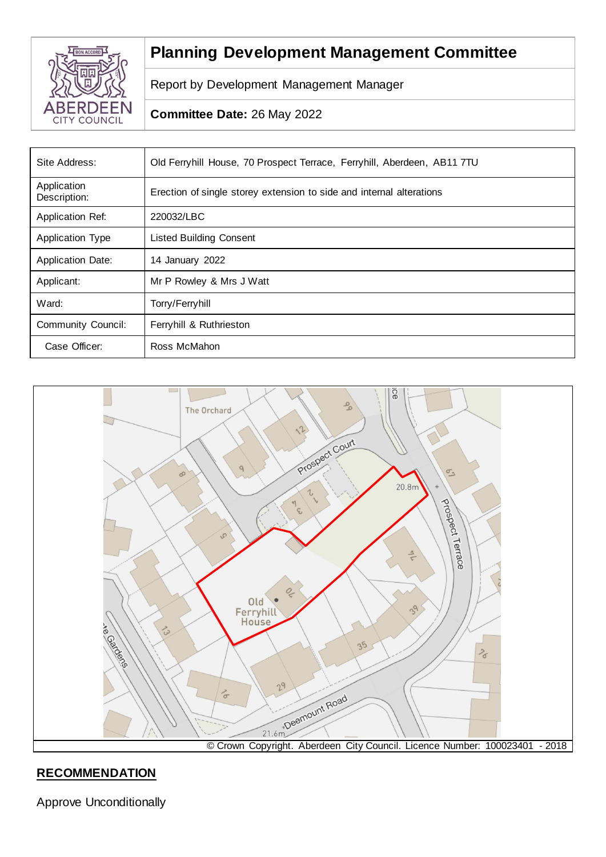

# **Planning Development Management Committee**

Report by Development Management Manager

## **Committee Date:** 26 May 2022

| Site Address:               | Old Ferryhill House, 70 Prospect Terrace, Ferryhill, Aberdeen, AB11 7TU |  |
|-----------------------------|-------------------------------------------------------------------------|--|
| Application<br>Description: | Erection of single storey extension to side and internal alterations    |  |
| Application Ref:            | 220032/LBC                                                              |  |
| <b>Application Type</b>     | <b>Listed Building Consent</b>                                          |  |
| <b>Application Date:</b>    | 14 January 2022                                                         |  |
| Applicant:                  | Mr P Rowley & Mrs J Watt                                                |  |
| Ward:                       | Torry/Ferryhill                                                         |  |
| <b>Community Council:</b>   | Ferryhill & Ruthrieston                                                 |  |
| Case Officer:               | Ross McMahon                                                            |  |



# **RECOMMENDATION**

Approve Unconditionally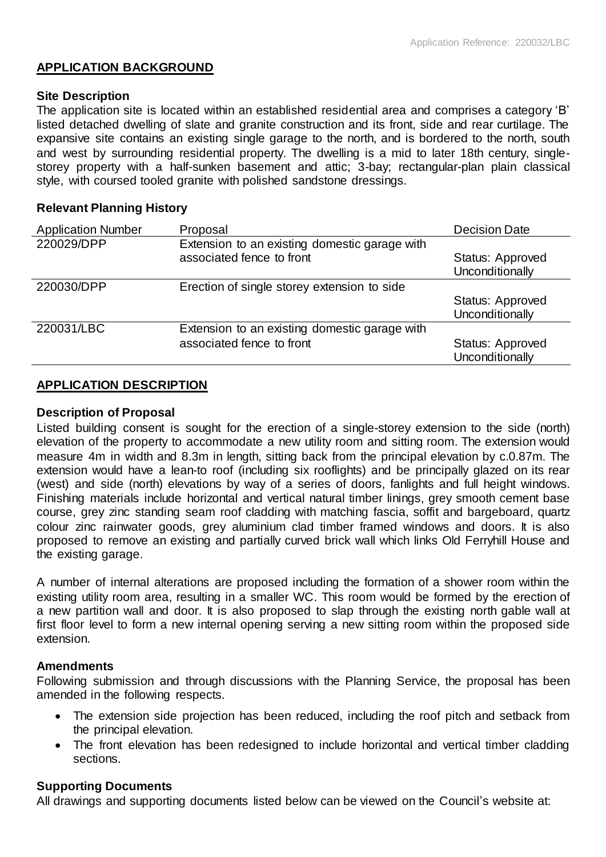## **APPLICATION BACKGROUND**

#### **Site Description**

The application site is located within an established residential area and comprises a category 'B' listed detached dwelling of slate and granite construction and its front, side and rear curtilage. The expansive site contains an existing single garage to the north, and is bordered to the north, south and west by surrounding residential property. The dwelling is a mid to later 18th century, singlestorey property with a half-sunken basement and attic; 3-bay; rectangular-plan plain classical style, with coursed tooled granite with polished sandstone dressings.

### **Relevant Planning History**

| <b>Application Number</b> | Proposal                                                                   | <b>Decision Date</b>                |
|---------------------------|----------------------------------------------------------------------------|-------------------------------------|
| 220029/DPP                | Extension to an existing domestic garage with<br>associated fence to front | Status: Approved<br>Unconditionally |
| 220030/DPP                | Erection of single storey extension to side                                | Status: Approved<br>Unconditionally |
| 220031/LBC                | Extension to an existing domestic garage with<br>associated fence to front | Status: Approved<br>Unconditionally |

## **APPLICATION DESCRIPTION**

#### **Description of Proposal**

Listed building consent is sought for the erection of a single-storey extension to the side (north) elevation of the property to accommodate a new utility room and sitting room. The extension would measure 4m in width and 8.3m in length, sitting back from the principal elevation by c.0.87m. The extension would have a lean-to roof (including six rooflights) and be principally glazed on its rear (west) and side (north) elevations by way of a series of doors, fanlights and full height windows. Finishing materials include horizontal and vertical natural timber linings, grey smooth cement base course, grey zinc standing seam roof cladding with matching fascia, soffit and bargeboard, quartz colour zinc rainwater goods, grey aluminium clad timber framed windows and doors. It is also proposed to remove an existing and partially curved brick wall which links Old Ferryhill House and the existing garage.

A number of internal alterations are proposed including the formation of a shower room within the existing utility room area, resulting in a smaller WC. This room would be formed by the erection of a new partition wall and door. It is also proposed to slap through the existing north gable wall at first floor level to form a new internal opening serving a new sitting room within the proposed side extension.

#### **Amendments**

Following submission and through discussions with the Planning Service, the proposal has been amended in the following respects.

- The extension side projection has been reduced, including the roof pitch and setback from the principal elevation.
- The front elevation has been redesigned to include horizontal and vertical timber cladding sections.

## **Supporting Documents**

All drawings and supporting documents listed below can be viewed on the Council's website at: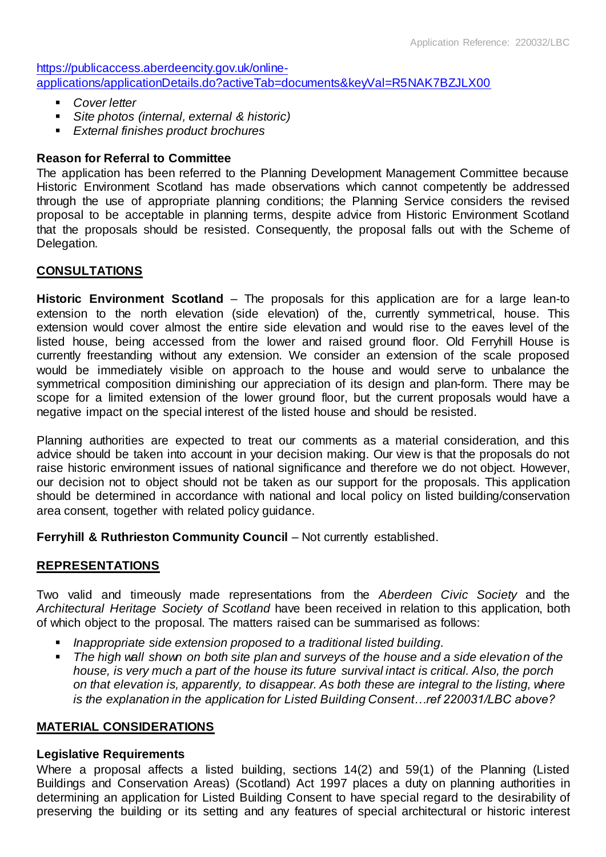[https://publicaccess.aberdeencity.gov.uk/online](https://publicaccess.aberdeencity.gov.uk/online-applications/applicationDetails.do?activeTab=documents&keyVal=R5NAK7BZJLX00)[applications/applicationDetails.do?activeTab=documents&keyVal=R5NAK7BZJLX00](https://publicaccess.aberdeencity.gov.uk/online-applications/applicationDetails.do?activeTab=documents&keyVal=R5NAK7BZJLX00)

- *Cover letter*
- *Site photos (internal, external & historic)*
- *External finishes product brochures*

## **Reason for Referral to Committee**

The application has been referred to the Planning Development Management Committee because Historic Environment Scotland has made observations which cannot competently be addressed through the use of appropriate planning conditions; the Planning Service considers the revised proposal to be acceptable in planning terms, despite advice from Historic Environment Scotland that the proposals should be resisted. Consequently, the proposal falls out with the Scheme of Delegation.

## **CONSULTATIONS**

**Historic Environment Scotland** – The proposals for this application are for a large lean-to extension to the north elevation (side elevation) of the, currently symmetrical, house. This extension would cover almost the entire side elevation and would rise to the eaves level of the listed house, being accessed from the lower and raised ground floor. Old Ferryhill House is currently freestanding without any extension. We consider an extension of the scale proposed would be immediately visible on approach to the house and would serve to unbalance the symmetrical composition diminishing our appreciation of its design and plan-form. There may be scope for a limited extension of the lower ground floor, but the current proposals would have a negative impact on the special interest of the listed house and should be resisted.

Planning authorities are expected to treat our comments as a material consideration, and this advice should be taken into account in your decision making. Our view is that the proposals do not raise historic environment issues of national significance and therefore we do not object. However, our decision not to object should not be taken as our support for the proposals. This application should be determined in accordance with national and local policy on listed building/conservation area consent, together with related policy guidance.

**Ferryhill & Ruthrieston Community Council** – Not currently established.

## **REPRESENTATIONS**

Two valid and timeously made representations from the *Aberdeen Civic Society* and the *Architectural Heritage Society of Scotland* have been received in relation to this application, both of which object to the proposal. The matters raised can be summarised as follows:

- *Inappropriate side extension proposed to a traditional listed building.*
- *The high wall shown on both site plan and surveys of the house and a side elevation of the house, is very much a part of the house its future survival intact is critical. Also, the porch on that elevation is, apparently, to disappear. As both these are integral to the listing, where is the explanation in the application for Listed Building Consent…ref 220031/LBC above?*

## **MATERIAL CONSIDERATIONS**

## **Legislative Requirements**

Where a proposal affects a listed building, sections 14(2) and 59(1) of the Planning (Listed Buildings and Conservation Areas) (Scotland) Act 1997 places a duty on planning authorities in determining an application for Listed Building Consent to have special regard to the desirability of preserving the building or its setting and any features of special architectural or historic interest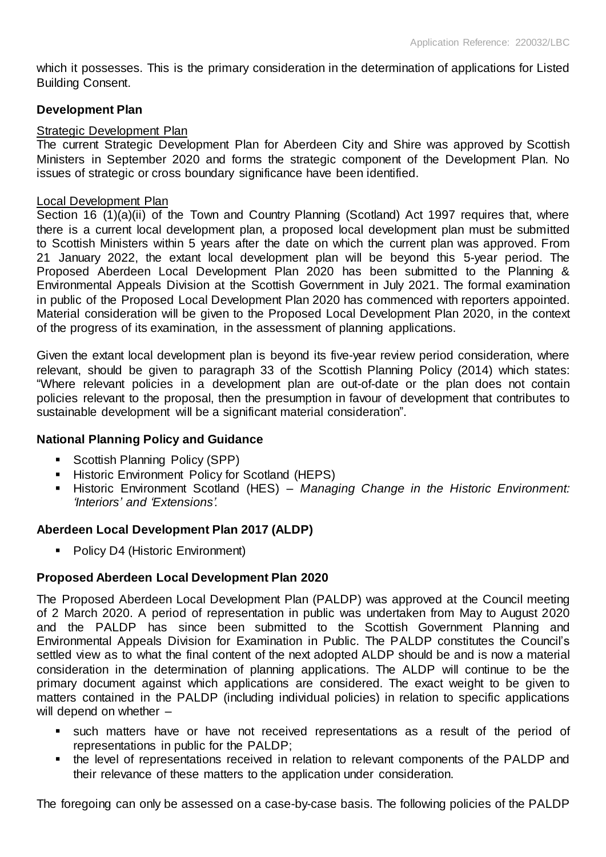which it possesses. This is the primary consideration in the determination of applications for Listed Building Consent.

#### **Development Plan**

#### Strategic Development Plan

The current Strategic Development Plan for Aberdeen City and Shire was approved by Scottish Ministers in September 2020 and forms the strategic component of the Development Plan. No issues of strategic or cross boundary significance have been identified.

#### Local Development Plan

Section 16 (1)(a)(ii) of the Town and Country Planning (Scotland) Act 1997 requires that, where there is a current local development plan, a proposed local development plan must be submitted to Scottish Ministers within 5 years after the date on which the current plan was approved. From 21 January 2022, the extant local development plan will be beyond this 5-year period. The Proposed Aberdeen Local Development Plan 2020 has been submitted to the Planning & Environmental Appeals Division at the Scottish Government in July 2021. The formal examination in public of the Proposed Local Development Plan 2020 has commenced with reporters appointed. Material consideration will be given to the Proposed Local Development Plan 2020, in the context of the progress of its examination, in the assessment of planning applications.

Given the extant local development plan is beyond its five-year review period consideration, where relevant, should be given to paragraph 33 of the Scottish Planning Policy (2014) which states: "Where relevant policies in a development plan are out-of-date or the plan does not contain policies relevant to the proposal, then the presumption in favour of development that contributes to sustainable development will be a significant material consideration".

## **National Planning Policy and Guidance**

- Scottish Planning Policy (SPP)
- **Historic Environment Policy for Scotland (HEPS)**
- Historic Environment Scotland (HES) *Managing Change in the Historic Environment: 'Interiors' and 'Extensions'.*

## **Aberdeen Local Development Plan 2017 (ALDP)**

■ Policy D4 (Historic Environment)

## **Proposed Aberdeen Local Development Plan 2020**

The Proposed Aberdeen Local Development Plan (PALDP) was approved at the Council meeting of 2 March 2020. A period of representation in public was undertaken from May to August 2020 and the PALDP has since been submitted to the Scottish Government Planning and Environmental Appeals Division for Examination in Public. The PALDP constitutes the Council's settled view as to what the final content of the next adopted ALDP should be and is now a material consideration in the determination of planning applications. The ALDP will continue to be the primary document against which applications are considered. The exact weight to be given to matters contained in the PALDP (including individual policies) in relation to specific applications will depend on whether  $-$ 

- such matters have or have not received representations as a result of the period of representations in public for the PALDP;
- the level of representations received in relation to relevant components of the PALDP and their relevance of these matters to the application under consideration.

The foregoing can only be assessed on a case-by-case basis. The following policies of the PALDP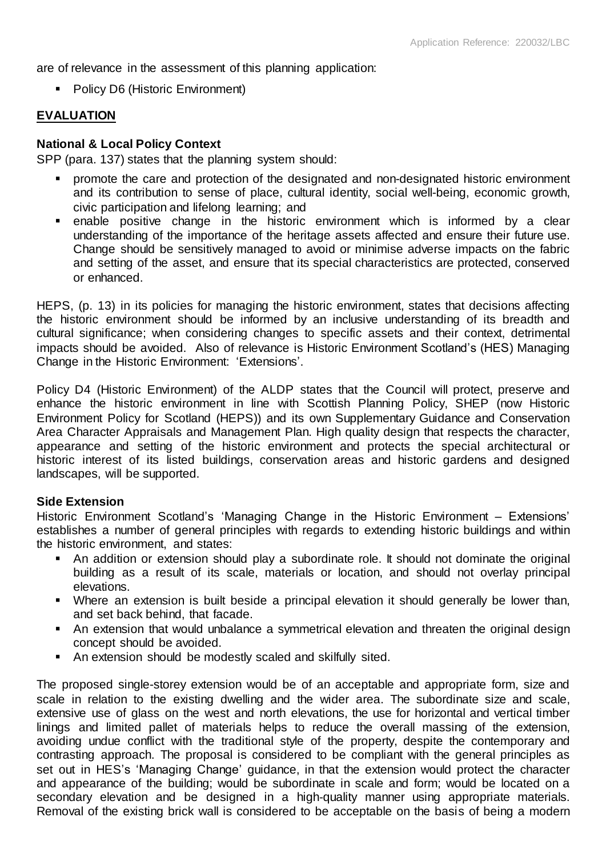are of relevance in the assessment of this planning application:

■ Policy D6 (Historic Environment)

## **EVALUATION**

## **National & Local Policy Context**

SPP (para. 137) states that the planning system should:

- promote the care and protection of the designated and non-designated historic environment and its contribution to sense of place, cultural identity, social well-being, economic growth, civic participation and lifelong learning; and
- enable positive change in the historic environment which is informed by a clear understanding of the importance of the heritage assets affected and ensure their future use. Change should be sensitively managed to avoid or minimise adverse impacts on the fabric and setting of the asset, and ensure that its special characteristics are protected, conserved or enhanced.

HEPS, (p. 13) in its policies for managing the historic environment, states that decisions affecting the historic environment should be informed by an inclusive understanding of its breadth and cultural significance; when considering changes to specific assets and their context, detrimental impacts should be avoided. Also of relevance is Historic Environment Scotland's (HES) Managing Change in the Historic Environment: 'Extensions'.

Policy D4 (Historic Environment) of the ALDP states that the Council will protect, preserve and enhance the historic environment in line with Scottish Planning Policy, SHEP (now Historic Environment Policy for Scotland (HEPS)) and its own Supplementary Guidance and Conservation Area Character Appraisals and Management Plan. High quality design that respects the character, appearance and setting of the historic environment and protects the special architectural or historic interest of its listed buildings, conservation areas and historic gardens and designed landscapes, will be supported.

#### **Side Extension**

Historic Environment Scotland's 'Managing Change in the Historic Environment – Extensions' establishes a number of general principles with regards to extending historic buildings and within the historic environment, and states:

- An addition or extension should play a subordinate role. It should not dominate the original building as a result of its scale, materials or location, and should not overlay principal elevations.
- Where an extension is built beside a principal elevation it should generally be lower than, and set back behind, that facade.
- An extension that would unbalance a symmetrical elevation and threaten the original design concept should be avoided.
- An extension should be modestly scaled and skilfully sited.

The proposed single-storey extension would be of an acceptable and appropriate form, size and scale in relation to the existing dwelling and the wider area. The subordinate size and scale, extensive use of glass on the west and north elevations, the use for horizontal and vertical timber linings and limited pallet of materials helps to reduce the overall massing of the extension, avoiding undue conflict with the traditional style of the property, despite the contemporary and contrasting approach. The proposal is considered to be compliant with the general principles as set out in HES's 'Managing Change' guidance, in that the extension would protect the character and appearance of the building; would be subordinate in scale and form; would be located on a secondary elevation and be designed in a high-quality manner using appropriate materials. Removal of the existing brick wall is considered to be acceptable on the basis of being a modern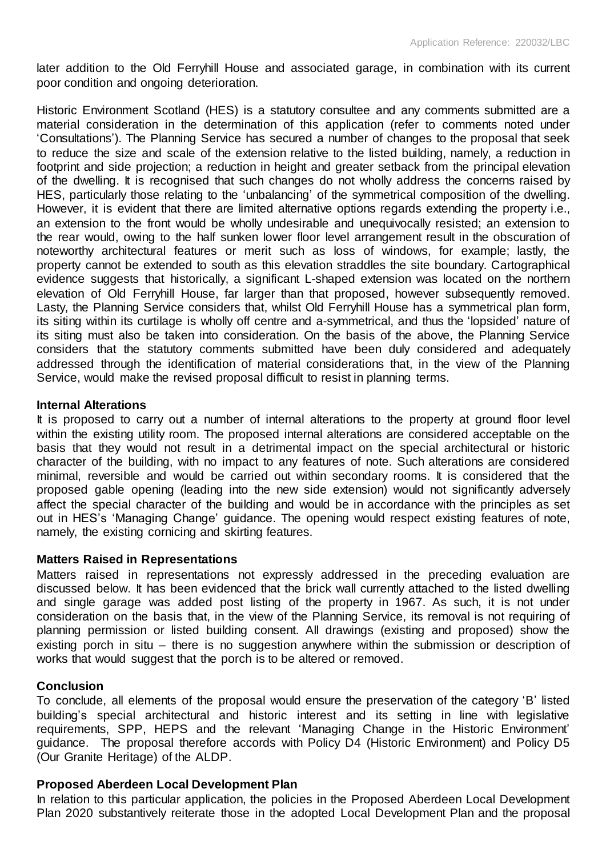later addition to the Old Ferryhill House and associated garage, in combination with its current poor condition and ongoing deterioration.

Historic Environment Scotland (HES) is a statutory consultee and any comments submitted are a material consideration in the determination of this application (refer to comments noted under 'Consultations'). The Planning Service has secured a number of changes to the proposal that seek to reduce the size and scale of the extension relative to the listed building, namely, a reduction in footprint and side projection; a reduction in height and greater setback from the principal elevation of the dwelling. It is recognised that such changes do not wholly address the concerns raised by HES, particularly those relating to the 'unbalancing' of the symmetrical composition of the dwelling. However, it is evident that there are limited alternative options regards extending the property i.e., an extension to the front would be wholly undesirable and unequivocally resisted; an extension to the rear would, owing to the half sunken lower floor level arrangement result in the obscuration of noteworthy architectural features or merit such as loss of windows, for example; lastly, the property cannot be extended to south as this elevation straddles the site boundary. Cartographical evidence suggests that historically, a significant L-shaped extension was located on the northern elevation of Old Ferryhill House, far larger than that proposed, however subsequently removed. Lasty, the Planning Service considers that, whilst Old Ferryhill House has a symmetrical plan form, its siting within its curtilage is wholly off centre and a-symmetrical, and thus the 'lopsided' nature of its siting must also be taken into consideration. On the basis of the above, the Planning Service considers that the statutory comments submitted have been duly considered and adequately addressed through the identification of material considerations that, in the view of the Planning Service, would make the revised proposal difficult to resist in planning terms.

#### **Internal Alterations**

It is proposed to carry out a number of internal alterations to the property at ground floor level within the existing utility room. The proposed internal alterations are considered acceptable on the basis that they would not result in a detrimental impact on the special architectural or historic character of the building, with no impact to any features of note. Such alterations are considered minimal, reversible and would be carried out within secondary rooms. It is considered that the proposed gable opening (leading into the new side extension) would not significantly adversely affect the special character of the building and would be in accordance with the principles as set out in HES's 'Managing Change' guidance. The opening would respect existing features of note, namely, the existing cornicing and skirting features.

#### **Matters Raised in Representations**

Matters raised in representations not expressly addressed in the preceding evaluation are discussed below. It has been evidenced that the brick wall currently attached to the listed dwelling and single garage was added post listing of the property in 1967. As such, it is not under consideration on the basis that, in the view of the Planning Service, its removal is not requiring of planning permission or listed building consent. All drawings (existing and proposed) show the existing porch in situ – there is no suggestion anywhere within the submission or description of works that would suggest that the porch is to be altered or removed.

#### **Conclusion**

To conclude, all elements of the proposal would ensure the preservation of the category 'B' listed building's special architectural and historic interest and its setting in line with legislative requirements, SPP, HEPS and the relevant 'Managing Change in the Historic Environment' guidance. The proposal therefore accords with Policy D4 (Historic Environment) and Policy D5 (Our Granite Heritage) of the ALDP.

#### **Proposed Aberdeen Local Development Plan**

In relation to this particular application, the policies in the Proposed Aberdeen Local Development Plan 2020 substantively reiterate those in the adopted Local Development Plan and the proposal